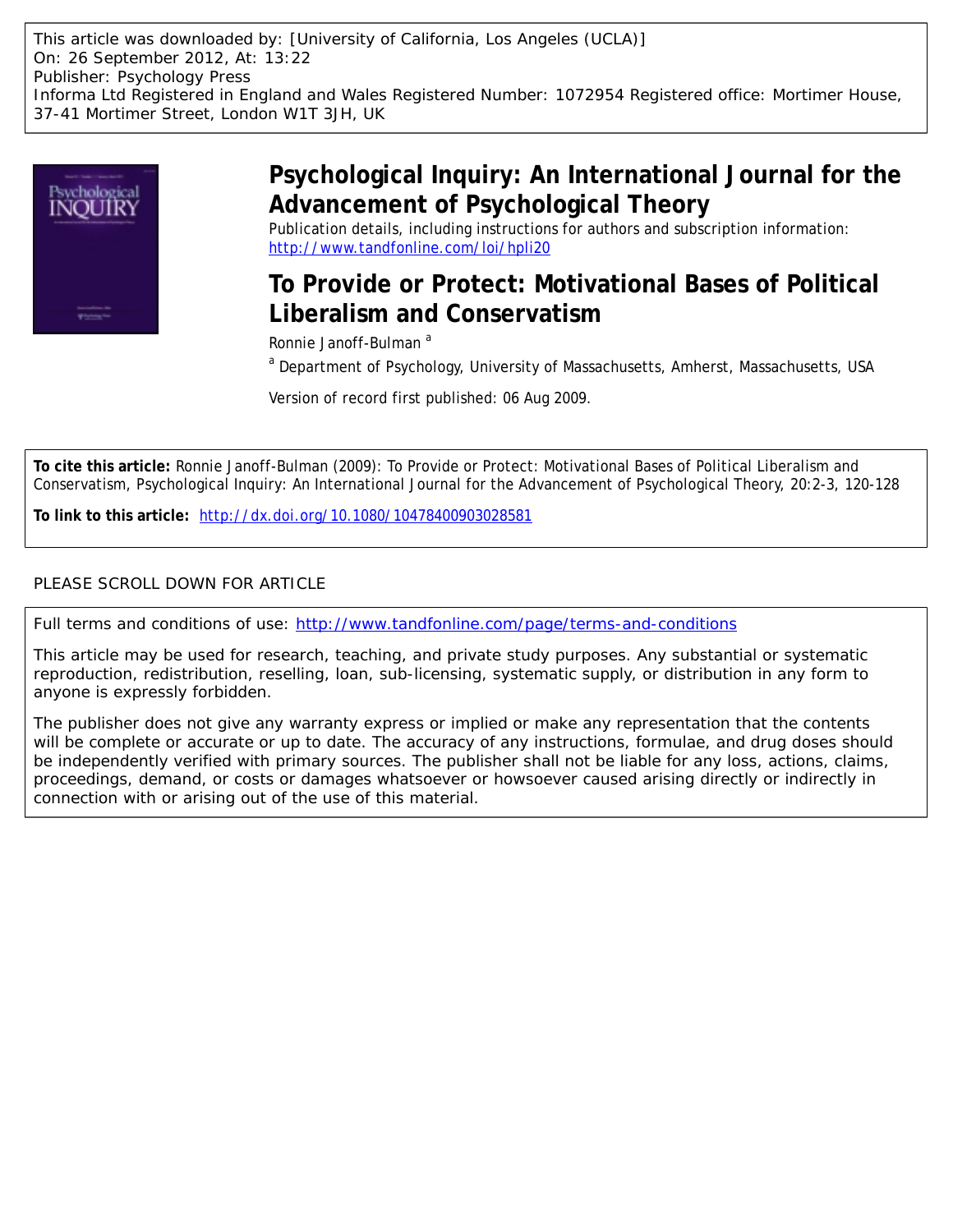This article was downloaded by: [University of California, Los Angeles (UCLA)] On: 26 September 2012, At: 13:22 Publisher: Psychology Press Informa Ltd Registered in England and Wales Registered Number: 1072954 Registered office: Mortimer House, 37-41 Mortimer Street, London W1T 3JH, UK



# **Psychological Inquiry: An International Journal for the Advancement of Psychological Theory**

Publication details, including instructions for authors and subscription information: <http://www.tandfonline.com/loi/hpli20>

**To Provide or Protect: Motivational Bases of Political Liberalism and Conservatism**

Ronnie Janoff-Bulman<sup>a</sup>

<sup>a</sup> Department of Psychology, University of Massachusetts, Amherst, Massachusetts, USA

Version of record first published: 06 Aug 2009.

**To cite this article:** Ronnie Janoff-Bulman (2009): To Provide or Protect: Motivational Bases of Political Liberalism and Conservatism, Psychological Inquiry: An International Journal for the Advancement of Psychological Theory, 20:2-3, 120-128

**To link to this article:** <http://dx.doi.org/10.1080/10478400903028581>

# PLEASE SCROLL DOWN FOR ARTICLE

Full terms and conditions of use:<http://www.tandfonline.com/page/terms-and-conditions>

This article may be used for research, teaching, and private study purposes. Any substantial or systematic reproduction, redistribution, reselling, loan, sub-licensing, systematic supply, or distribution in any form to anyone is expressly forbidden.

The publisher does not give any warranty express or implied or make any representation that the contents will be complete or accurate or up to date. The accuracy of any instructions, formulae, and drug doses should be independently verified with primary sources. The publisher shall not be liable for any loss, actions, claims, proceedings, demand, or costs or damages whatsoever or howsoever caused arising directly or indirectly in connection with or arising out of the use of this material.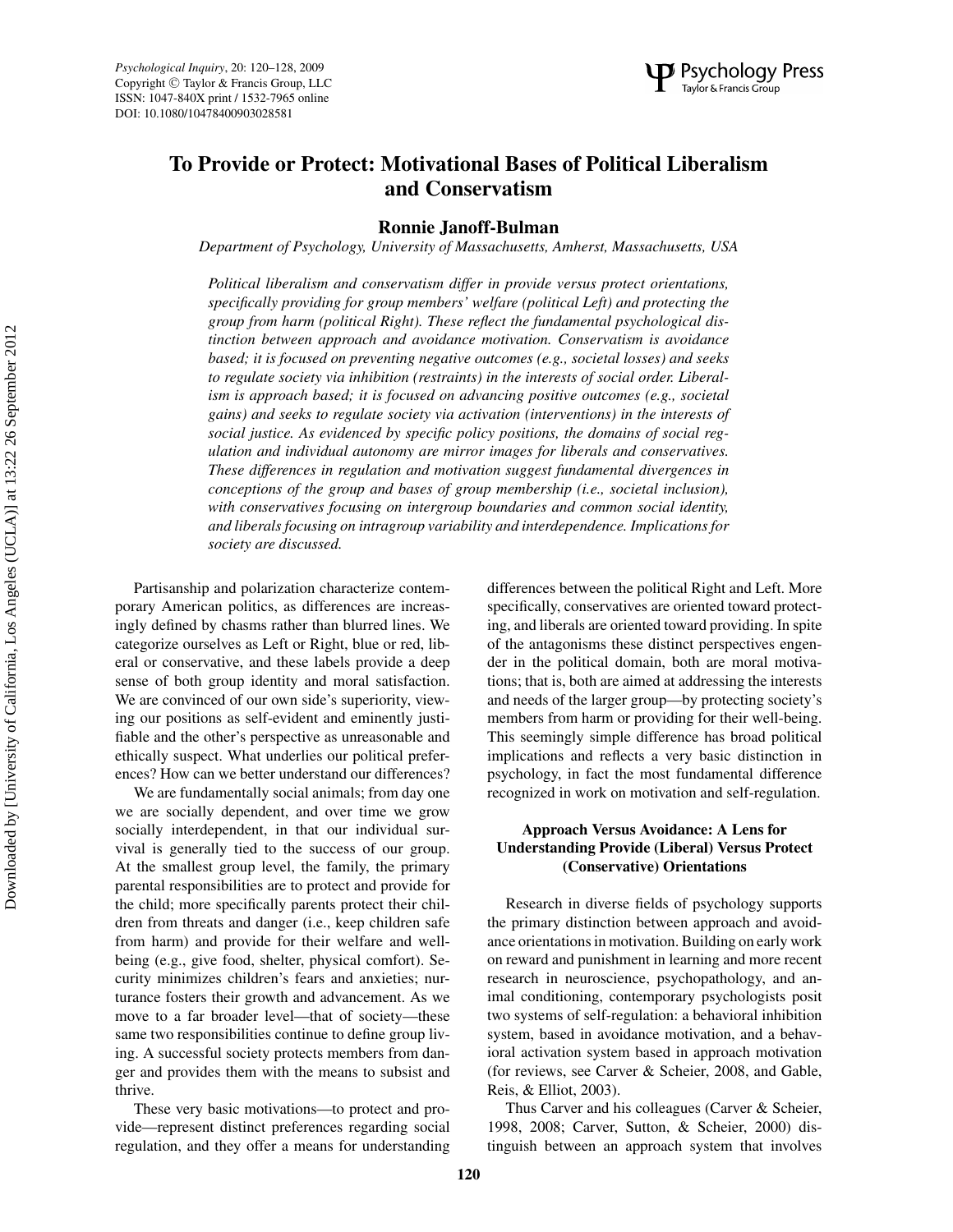*Psychological Inquiry*, 20: 120–128, 2009

# **To Provide or Protect: Motivational Bases of Political Liberalism and Conservatism**

# **Ronnie Janoff-Bulman**

*Department of Psychology, University of Massachusetts, Amherst, Massachusetts, USA*

*Political liberalism and conservatism differ in provide versus protect orientations, specifically providing for group members' welfare (political Left) and protecting the group from harm (political Right). These reflect the fundamental psychological distinction between approach and avoidance motivation. Conservatism is avoidance based; it is focused on preventing negative outcomes (e.g., societal losses) and seeks to regulate society via inhibition (restraints) in the interests of social order. Liberalism is approach based; it is focused on advancing positive outcomes (e.g., societal gains) and seeks to regulate society via activation (interventions) in the interests of social justice. As evidenced by specific policy positions, the domains of social regulation and individual autonomy are mirror images for liberals and conservatives. These differences in regulation and motivation suggest fundamental divergences in conceptions of the group and bases of group membership (i.e., societal inclusion), with conservatives focusing on intergroup boundaries and common social identity, and liberals focusing on intragroup variability and interdependence. Implications for society are discussed.*

Partisanship and polarization characterize contemporary American politics, as differences are increasingly defined by chasms rather than blurred lines. We categorize ourselves as Left or Right, blue or red, liberal or conservative, and these labels provide a deep sense of both group identity and moral satisfaction. We are convinced of our own side's superiority, viewing our positions as self-evident and eminently justifiable and the other's perspective as unreasonable and ethically suspect. What underlies our political preferences? How can we better understand our differences?

We are fundamentally social animals; from day one we are socially dependent, and over time we grow socially interdependent, in that our individual survival is generally tied to the success of our group. At the smallest group level, the family, the primary parental responsibilities are to protect and provide for the child; more specifically parents protect their children from threats and danger (i.e., keep children safe from harm) and provide for their welfare and wellbeing (e.g., give food, shelter, physical comfort). Security minimizes children's fears and anxieties; nurturance fosters their growth and advancement. As we move to a far broader level—that of society—these same two responsibilities continue to define group living. A successful society protects members from danger and provides them with the means to subsist and thrive.

These very basic motivations—to protect and provide—represent distinct preferences regarding social regulation, and they offer a means for understanding

differences between the political Right and Left. More specifically, conservatives are oriented toward protecting, and liberals are oriented toward providing. In spite of the antagonisms these distinct perspectives engender in the political domain, both are moral motivations; that is, both are aimed at addressing the interests and needs of the larger group—by protecting society's members from harm or providing for their well-being. This seemingly simple difference has broad political implications and reflects a very basic distinction in psychology, in fact the most fundamental difference recognized in work on motivation and self-regulation.

## **Approach Versus Avoidance: A Lens for Understanding Provide (Liberal) Versus Protect (Conservative) Orientations**

Research in diverse fields of psychology supports the primary distinction between approach and avoidance orientations in motivation. Building on early work on reward and punishment in learning and more recent research in neuroscience, psychopathology, and animal conditioning, contemporary psychologists posit two systems of self-regulation: a behavioral inhibition system, based in avoidance motivation, and a behavioral activation system based in approach motivation (for reviews, see Carver & Scheier, 2008, and Gable, Reis, & Elliot, 2003).

Thus Carver and his colleagues (Carver & Scheier, 1998, 2008; Carver, Sutton, & Scheier, 2000) distinguish between an approach system that involves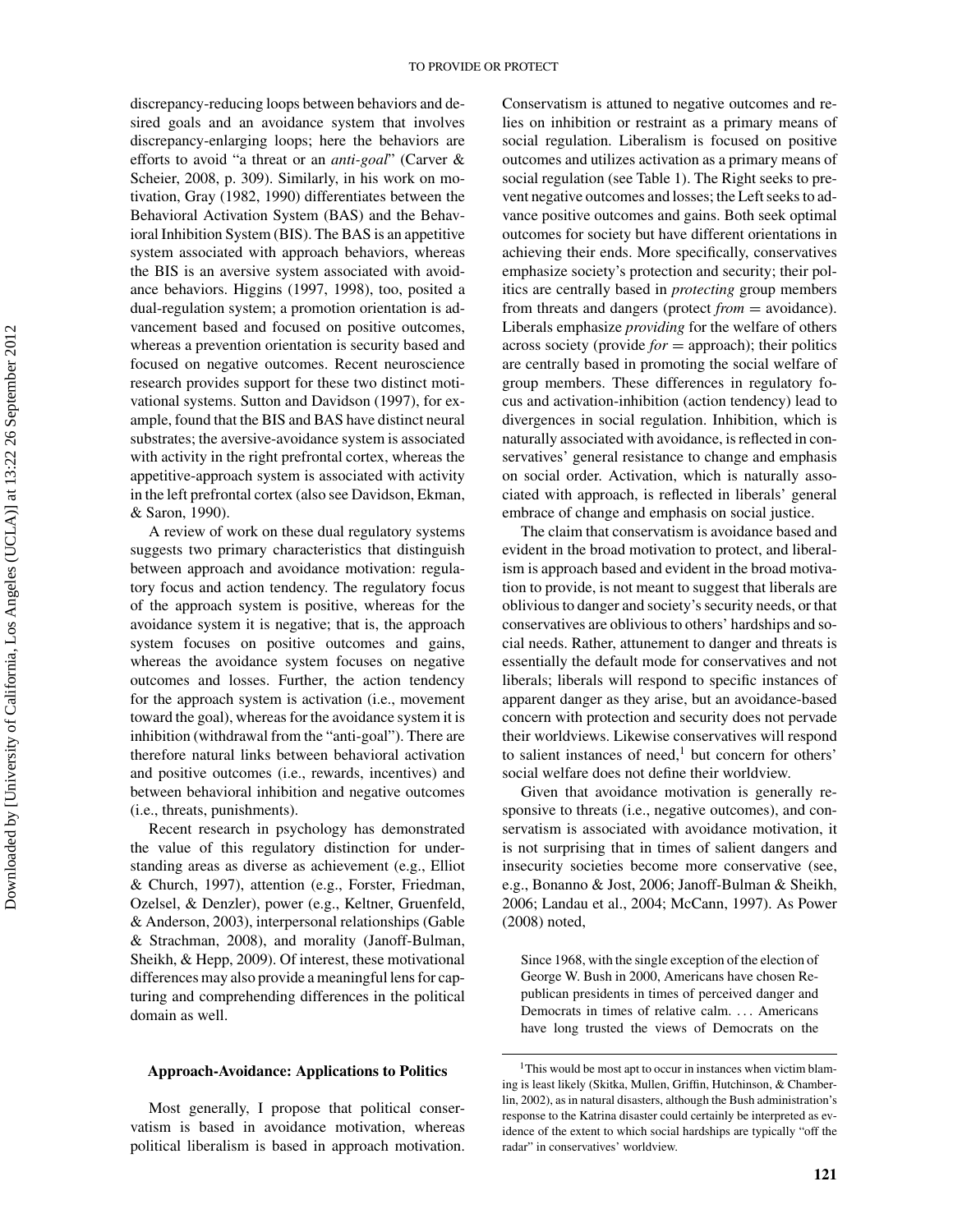discrepancy-reducing loops between behaviors and desired goals and an avoidance system that involves discrepancy-enlarging loops; here the behaviors are efforts to avoid "a threat or an *anti-goal*" (Carver & Scheier, 2008, p. 309). Similarly, in his work on motivation, Gray (1982, 1990) differentiates between the Behavioral Activation System (BAS) and the Behavioral Inhibition System (BIS). The BAS is an appetitive system associated with approach behaviors, whereas the BIS is an aversive system associated with avoidance behaviors. Higgins (1997, 1998), too, posited a dual-regulation system; a promotion orientation is advancement based and focused on positive outcomes, whereas a prevention orientation is security based and focused on negative outcomes. Recent neuroscience research provides support for these two distinct motivational systems. Sutton and Davidson (1997), for example, found that the BIS and BAS have distinct neural substrates; the aversive-avoidance system is associated with activity in the right prefrontal cortex, whereas the appetitive-approach system is associated with activity in the left prefrontal cortex (also see Davidson, Ekman, & Saron, 1990).

A review of work on these dual regulatory systems suggests two primary characteristics that distinguish between approach and avoidance motivation: regulatory focus and action tendency. The regulatory focus of the approach system is positive, whereas for the avoidance system it is negative; that is, the approach system focuses on positive outcomes and gains, whereas the avoidance system focuses on negative outcomes and losses. Further, the action tendency for the approach system is activation (i.e., movement toward the goal), whereas for the avoidance system it is inhibition (withdrawal from the "anti-goal"). There are therefore natural links between behavioral activation and positive outcomes (i.e., rewards, incentives) and between behavioral inhibition and negative outcomes (i.e., threats, punishments).

Recent research in psychology has demonstrated the value of this regulatory distinction for understanding areas as diverse as achievement (e.g., Elliot & Church, 1997), attention (e.g., Forster, Friedman, Ozelsel, & Denzler), power (e.g., Keltner, Gruenfeld, & Anderson, 2003), interpersonal relationships (Gable & Strachman, 2008), and morality (Janoff-Bulman, Sheikh, & Hepp, 2009). Of interest, these motivational differences may also provide a meaningful lens for capturing and comprehending differences in the political domain as well.

#### **Approach-Avoidance: Applications to Politics**

Most generally, I propose that political conservatism is based in avoidance motivation, whereas political liberalism is based in approach motivation.

Conservatism is attuned to negative outcomes and relies on inhibition or restraint as a primary means of social regulation. Liberalism is focused on positive outcomes and utilizes activation as a primary means of social regulation (see Table 1). The Right seeks to prevent negative outcomes and losses; the Left seeks to advance positive outcomes and gains. Both seek optimal outcomes for society but have different orientations in achieving their ends. More specifically, conservatives emphasize society's protection and security; their politics are centrally based in *protecting* group members from threats and dangers (protect *from* = avoidance). Liberals emphasize *providing* for the welfare of others across society (provide *for* = approach); their politics are centrally based in promoting the social welfare of group members. These differences in regulatory focus and activation-inhibition (action tendency) lead to divergences in social regulation. Inhibition, which is naturally associated with avoidance, is reflected in conservatives' general resistance to change and emphasis on social order. Activation, which is naturally associated with approach, is reflected in liberals' general embrace of change and emphasis on social justice.

The claim that conservatism is avoidance based and evident in the broad motivation to protect, and liberalism is approach based and evident in the broad motivation to provide, is not meant to suggest that liberals are oblivious to danger and society's security needs, or that conservatives are oblivious to others' hardships and social needs. Rather, attunement to danger and threats is essentially the default mode for conservatives and not liberals; liberals will respond to specific instances of apparent danger as they arise, but an avoidance-based concern with protection and security does not pervade their worldviews. Likewise conservatives will respond to salient instances of need, $<sup>1</sup>$  but concern for others'</sup> social welfare does not define their worldview.

Given that avoidance motivation is generally responsive to threats (i.e., negative outcomes), and conservatism is associated with avoidance motivation, it is not surprising that in times of salient dangers and insecurity societies become more conservative (see, e.g., Bonanno & Jost, 2006; Janoff-Bulman & Sheikh, 2006; Landau et al., 2004; McCann, 1997). As Power (2008) noted,

Since 1968, with the single exception of the election of George W. Bush in 2000, Americans have chosen Republican presidents in times of perceived danger and Democrats in times of relative calm. *...* Americans have long trusted the views of Democrats on the

<sup>&</sup>lt;sup>1</sup>This would be most apt to occur in instances when victim blaming is least likely (Skitka, Mullen, Griffin, Hutchinson, & Chamberlin, 2002), as in natural disasters, although the Bush administration's response to the Katrina disaster could certainly be interpreted as evidence of the extent to which social hardships are typically "off the radar" in conservatives' worldview.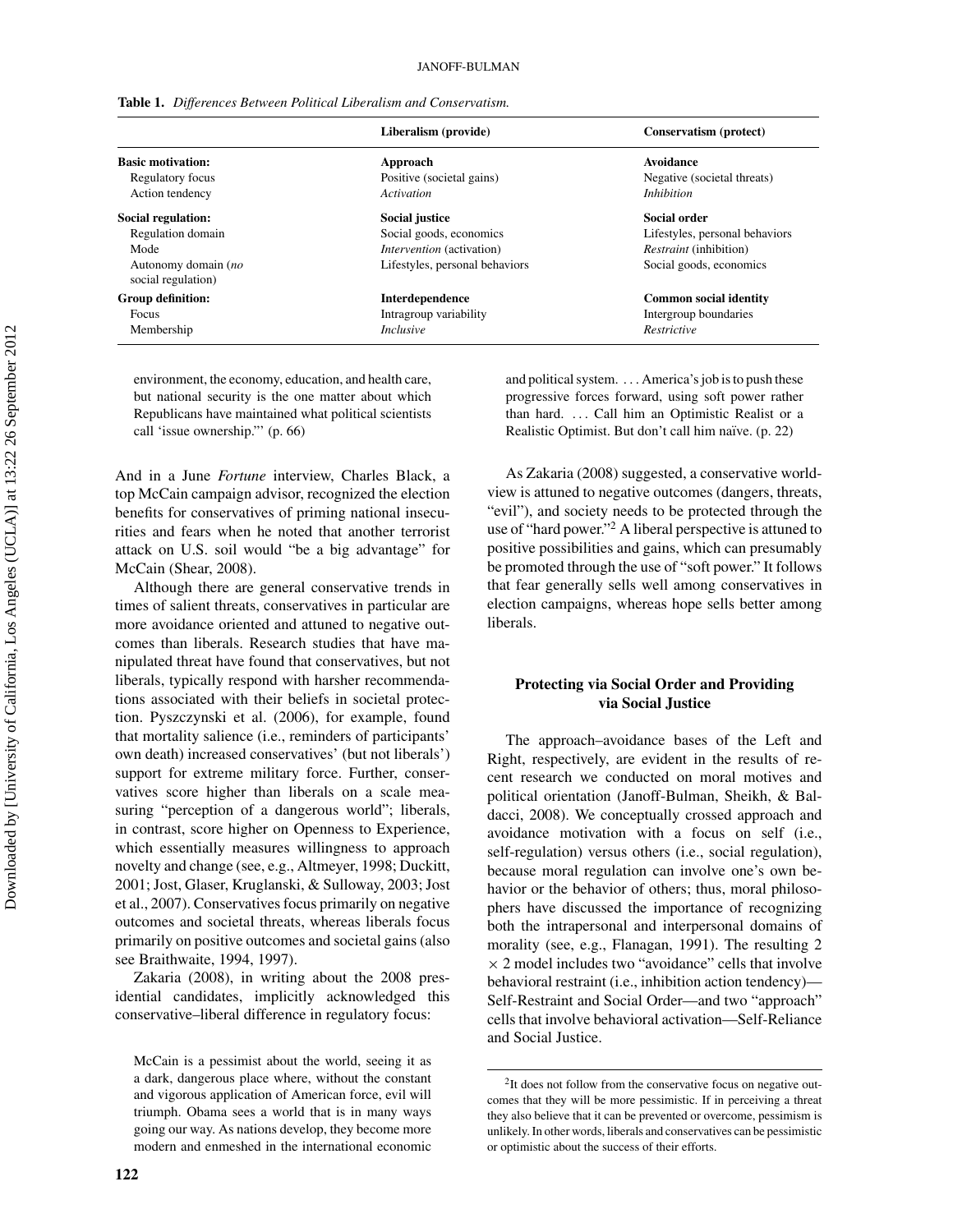|  |  |  |  |  |  |  | Table 1. Differences Between Political Liberalism and Conservatism. |
|--|--|--|--|--|--|--|---------------------------------------------------------------------|
|--|--|--|--|--|--|--|---------------------------------------------------------------------|

|                                           | Liberalism (provide)             | <b>Conservatism (protect)</b>  |  |  |
|-------------------------------------------|----------------------------------|--------------------------------|--|--|
| <b>Basic motivation:</b>                  | Approach                         | Avoidance                      |  |  |
| Regulatory focus                          | Positive (societal gains)        | Negative (societal threats)    |  |  |
| Action tendency                           | Activation                       | <i>Inhibition</i>              |  |  |
| <b>Social regulation:</b>                 | <b>Social justice</b>            | Social order                   |  |  |
| Regulation domain                         | Social goods, economics          | Lifestyles, personal behaviors |  |  |
| Mode                                      | <i>Intervention</i> (activation) | <i>Restraint</i> (inhibition)  |  |  |
| Autonomy domain (no<br>social regulation) | Lifestyles, personal behaviors   | Social goods, economics        |  |  |
| <b>Group definition:</b>                  | Interdependence                  | <b>Common social identity</b>  |  |  |
| Focus                                     | Intragroup variability           | Intergroup boundaries          |  |  |
| Membership                                | Inclusive                        | Restrictive                    |  |  |

environment, the economy, education, and health care, but national security is the one matter about which Republicans have maintained what political scientists call 'issue ownership."' (p. 66)

And in a June *Fortune* interview, Charles Black, a top McCain campaign advisor, recognized the election benefits for conservatives of priming national insecurities and fears when he noted that another terrorist attack on U.S. soil would "be a big advantage" for McCain (Shear, 2008).

Although there are general conservative trends in times of salient threats, conservatives in particular are more avoidance oriented and attuned to negative outcomes than liberals. Research studies that have manipulated threat have found that conservatives, but not liberals, typically respond with harsher recommendations associated with their beliefs in societal protection. Pyszczynski et al. (2006), for example, found that mortality salience (i.e., reminders of participants' own death) increased conservatives' (but not liberals') support for extreme military force. Further, conservatives score higher than liberals on a scale measuring "perception of a dangerous world"; liberals, in contrast, score higher on Openness to Experience, which essentially measures willingness to approach novelty and change (see, e.g., Altmeyer, 1998; Duckitt, 2001; Jost, Glaser, Kruglanski, & Sulloway, 2003; Jost et al., 2007). Conservatives focus primarily on negative outcomes and societal threats, whereas liberals focus primarily on positive outcomes and societal gains (also see Braithwaite, 1994, 1997).

Zakaria (2008), in writing about the 2008 presidential candidates, implicitly acknowledged this conservative–liberal difference in regulatory focus:

and political system. *...* America's job is to push these progressive forces forward, using soft power rather than hard. *...* Call him an Optimistic Realist or a Realistic Optimist. But don't call him naïve. (p. 22)

As Zakaria (2008) suggested, a conservative worldview is attuned to negative outcomes (dangers, threats, "evil"), and society needs to be protected through the use of "hard power."2 A liberal perspective is attuned to positive possibilities and gains, which can presumably be promoted through the use of "soft power." It follows that fear generally sells well among conservatives in election campaigns, whereas hope sells better among liberals.

# **Protecting via Social Order and Providing via Social Justice**

The approach–avoidance bases of the Left and Right, respectively, are evident in the results of recent research we conducted on moral motives and political orientation (Janoff-Bulman, Sheikh, & Baldacci, 2008). We conceptually crossed approach and avoidance motivation with a focus on self (i.e., self-regulation) versus others (i.e., social regulation), because moral regulation can involve one's own behavior or the behavior of others; thus, moral philosophers have discussed the importance of recognizing both the intrapersonal and interpersonal domains of morality (see, e.g., Flanagan, 1991). The resulting 2  $\times$  2 model includes two "avoidance" cells that involve behavioral restraint (i.e., inhibition action tendency)— Self-Restraint and Social Order—and two "approach" cells that involve behavioral activation—Self-Reliance and Social Justice.

McCain is a pessimist about the world, seeing it as a dark, dangerous place where, without the constant and vigorous application of American force, evil will triumph. Obama sees a world that is in many ways going our way. As nations develop, they become more modern and enmeshed in the international economic

<sup>2</sup>It does not follow from the conservative focus on negative outcomes that they will be more pessimistic. If in perceiving a threat they also believe that it can be prevented or overcome, pessimism is unlikely. In other words, liberals and conservatives can be pessimistic or optimistic about the success of their efforts.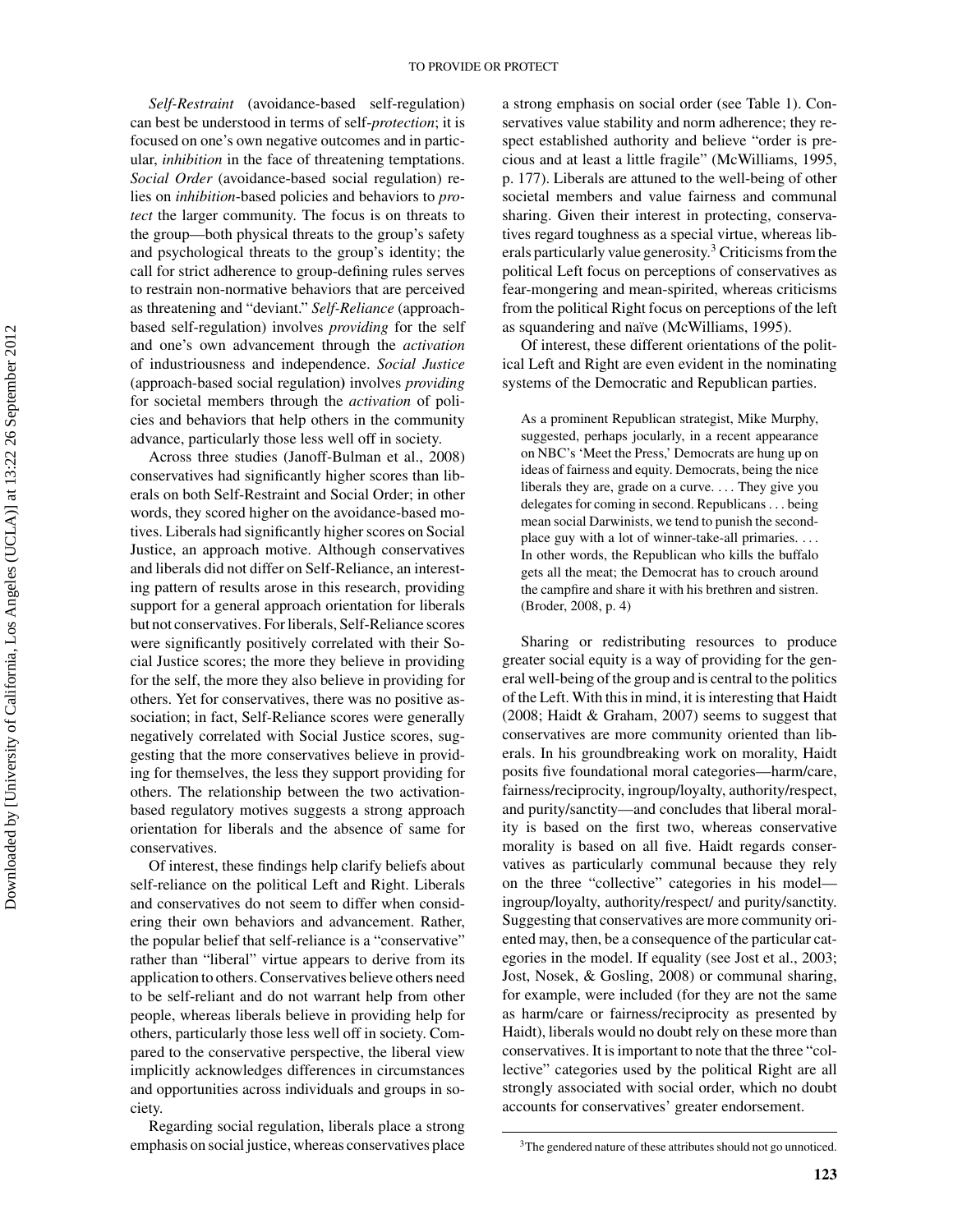*Self-Restraint* (avoidance-based self-regulation) can best be understood in terms of self-*protection*; it is focused on one's own negative outcomes and in particular, *inhibition* in the face of threatening temptations. *Social Order* (avoidance-based social regulation) relies on *inhibition*-based policies and behaviors to *protect* the larger community. The focus is on threats to the group—both physical threats to the group's safety and psychological threats to the group's identity; the call for strict adherence to group-defining rules serves to restrain non-normative behaviors that are perceived as threatening and "deviant." *Self-Reliance* (approachbased self-regulation) involves *providing* for the self and one's own advancement through the *activation* of industriousness and independence. *Social Justice* (approach-based social regulation**)** involves *providing* for societal members through the *activation* of policies and behaviors that help others in the community advance, particularly those less well off in society.

Across three studies (Janoff-Bulman et al., 2008) conservatives had significantly higher scores than liberals on both Self-Restraint and Social Order; in other words, they scored higher on the avoidance-based motives. Liberals had significantly higher scores on Social Justice, an approach motive. Although conservatives and liberals did not differ on Self-Reliance, an interesting pattern of results arose in this research, providing support for a general approach orientation for liberals but not conservatives. For liberals, Self-Reliance scores were significantly positively correlated with their Social Justice scores; the more they believe in providing for the self, the more they also believe in providing for others. Yet for conservatives, there was no positive association; in fact, Self-Reliance scores were generally negatively correlated with Social Justice scores, suggesting that the more conservatives believe in providing for themselves, the less they support providing for others. The relationship between the two activationbased regulatory motives suggests a strong approach orientation for liberals and the absence of same for conservatives.

Of interest, these findings help clarify beliefs about self-reliance on the political Left and Right. Liberals and conservatives do not seem to differ when considering their own behaviors and advancement. Rather, the popular belief that self-reliance is a "conservative" rather than "liberal" virtue appears to derive from its application to others. Conservatives believe others need to be self-reliant and do not warrant help from other people, whereas liberals believe in providing help for others, particularly those less well off in society. Compared to the conservative perspective, the liberal view implicitly acknowledges differences in circumstances and opportunities across individuals and groups in society.

Regarding social regulation, liberals place a strong emphasis on social justice, whereas conservatives place

a strong emphasis on social order (see Table 1). Conservatives value stability and norm adherence; they respect established authority and believe "order is precious and at least a little fragile" (McWilliams, 1995, p. 177). Liberals are attuned to the well-being of other societal members and value fairness and communal sharing. Given their interest in protecting, conservatives regard toughness as a special virtue, whereas liberals particularly value generosity.<sup>3</sup> Criticisms from the political Left focus on perceptions of conservatives as fear-mongering and mean-spirited, whereas criticisms from the political Right focus on perceptions of the left as squandering and naïve (McWilliams, 1995).

Of interest, these different orientations of the political Left and Right are even evident in the nominating systems of the Democratic and Republican parties.

As a prominent Republican strategist, Mike Murphy, suggested, perhaps jocularly, in a recent appearance on NBC's 'Meet the Press,' Democrats are hung up on ideas of fairness and equity. Democrats, being the nice liberals they are, grade on a curve. *...* They give you delegates for coming in second. Republicans*...* being mean social Darwinists, we tend to punish the secondplace guy with a lot of winner-take-all primaries. *...* In other words, the Republican who kills the buffalo gets all the meat; the Democrat has to crouch around the campfire and share it with his brethren and sistren. (Broder, 2008, p. 4)

Sharing or redistributing resources to produce greater social equity is a way of providing for the general well-being of the group and is central to the politics of the Left. With this in mind, it is interesting that Haidt (2008; Haidt & Graham, 2007) seems to suggest that conservatives are more community oriented than liberals. In his groundbreaking work on morality, Haidt posits five foundational moral categories—harm/care, fairness/reciprocity, ingroup/loyalty, authority/respect, and purity/sanctity—and concludes that liberal morality is based on the first two, whereas conservative morality is based on all five. Haidt regards conservatives as particularly communal because they rely on the three "collective" categories in his model ingroup/loyalty, authority/respect/ and purity/sanctity. Suggesting that conservatives are more community oriented may, then, be a consequence of the particular categories in the model. If equality (see Jost et al., 2003; Jost, Nosek, & Gosling, 2008) or communal sharing, for example, were included (for they are not the same as harm/care or fairness/reciprocity as presented by Haidt), liberals would no doubt rely on these more than conservatives. It is important to note that the three "collective" categories used by the political Right are all strongly associated with social order, which no doubt accounts for conservatives' greater endorsement.

<sup>&</sup>lt;sup>3</sup>The gendered nature of these attributes should not go unnoticed.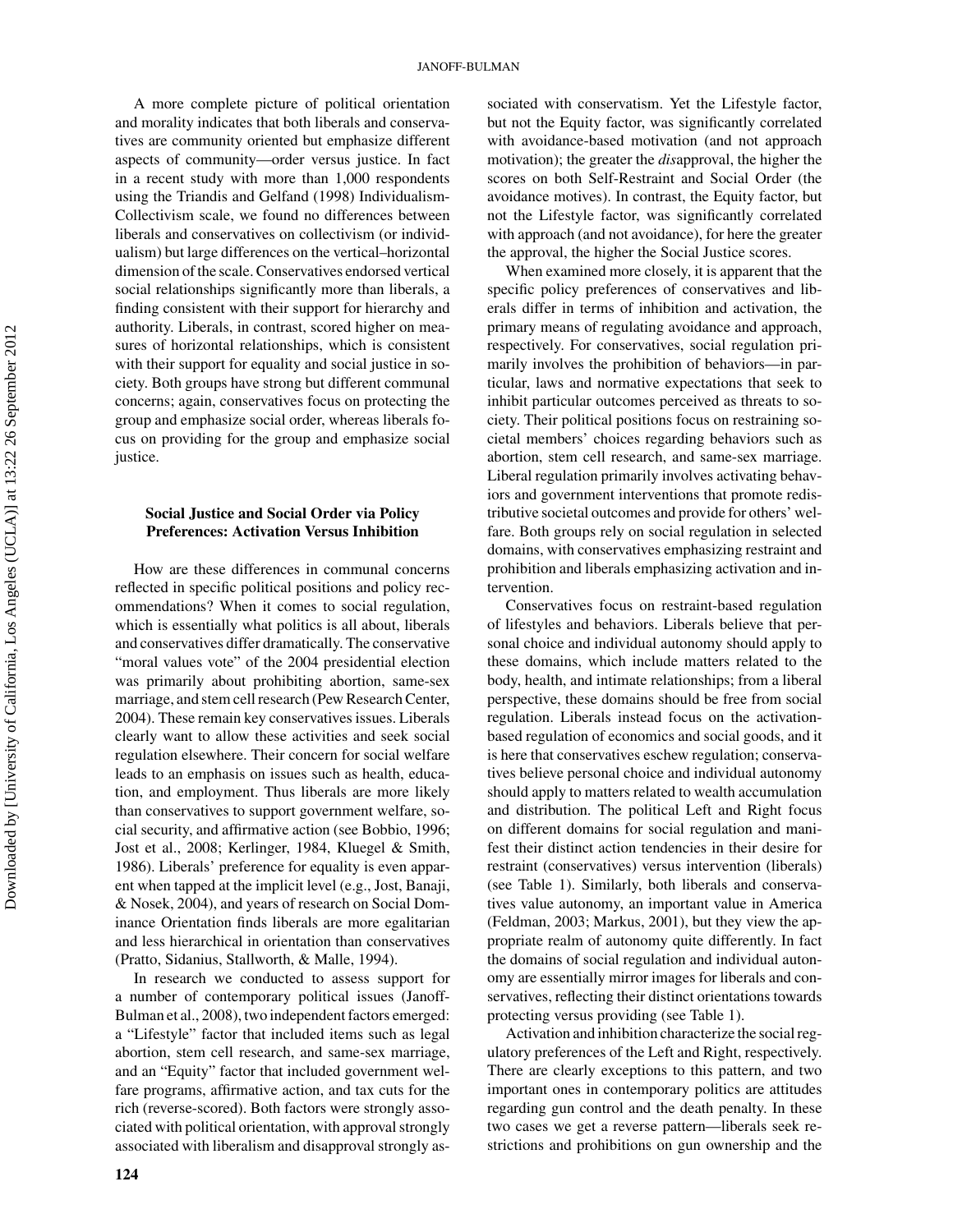A more complete picture of political orientation and morality indicates that both liberals and conservatives are community oriented but emphasize different aspects of community—order versus justice. In fact in a recent study with more than 1,000 respondents using the Triandis and Gelfand (1998) Individualism-Collectivism scale, we found no differences between liberals and conservatives on collectivism (or individualism) but large differences on the vertical–horizontal dimension of the scale. Conservatives endorsed vertical social relationships significantly more than liberals, a finding consistent with their support for hierarchy and authority. Liberals, in contrast, scored higher on measures of horizontal relationships, which is consistent with their support for equality and social justice in society. Both groups have strong but different communal concerns; again, conservatives focus on protecting the group and emphasize social order, whereas liberals focus on providing for the group and emphasize social justice.

# **Social Justice and Social Order via Policy Preferences: Activation Versus Inhibition**

How are these differences in communal concerns reflected in specific political positions and policy recommendations? When it comes to social regulation, which is essentially what politics is all about, liberals and conservatives differ dramatically. The conservative "moral values vote" of the 2004 presidential election was primarily about prohibiting abortion, same-sex marriage, and stem cell research (Pew Research Center, 2004). These remain key conservatives issues. Liberals clearly want to allow these activities and seek social regulation elsewhere. Their concern for social welfare leads to an emphasis on issues such as health, education, and employment. Thus liberals are more likely than conservatives to support government welfare, social security, and affirmative action (see Bobbio, 1996; Jost et al., 2008; Kerlinger, 1984, Kluegel & Smith, 1986). Liberals' preference for equality is even apparent when tapped at the implicit level (e.g., Jost, Banaji, & Nosek, 2004), and years of research on Social Dominance Orientation finds liberals are more egalitarian and less hierarchical in orientation than conservatives (Pratto, Sidanius, Stallworth, & Malle, 1994).

In research we conducted to assess support for a number of contemporary political issues (Janoff-Bulman et al., 2008), two independent factors emerged: a "Lifestyle" factor that included items such as legal abortion, stem cell research, and same-sex marriage, and an "Equity" factor that included government welfare programs, affirmative action, and tax cuts for the rich (reverse-scored). Both factors were strongly associated with political orientation, with approval strongly associated with liberalism and disapproval strongly associated with conservatism. Yet the Lifestyle factor, but not the Equity factor, was significantly correlated with avoidance-based motivation (and not approach motivation); the greater the *dis*approval, the higher the scores on both Self-Restraint and Social Order (the avoidance motives). In contrast, the Equity factor, but not the Lifestyle factor, was significantly correlated with approach (and not avoidance), for here the greater the approval, the higher the Social Justice scores.

When examined more closely, it is apparent that the specific policy preferences of conservatives and liberals differ in terms of inhibition and activation, the primary means of regulating avoidance and approach, respectively. For conservatives, social regulation primarily involves the prohibition of behaviors—in particular, laws and normative expectations that seek to inhibit particular outcomes perceived as threats to society. Their political positions focus on restraining societal members' choices regarding behaviors such as abortion, stem cell research, and same-sex marriage. Liberal regulation primarily involves activating behaviors and government interventions that promote redistributive societal outcomes and provide for others' welfare. Both groups rely on social regulation in selected domains, with conservatives emphasizing restraint and prohibition and liberals emphasizing activation and intervention.

Conservatives focus on restraint-based regulation of lifestyles and behaviors. Liberals believe that personal choice and individual autonomy should apply to these domains, which include matters related to the body, health, and intimate relationships; from a liberal perspective, these domains should be free from social regulation. Liberals instead focus on the activationbased regulation of economics and social goods, and it is here that conservatives eschew regulation; conservatives believe personal choice and individual autonomy should apply to matters related to wealth accumulation and distribution. The political Left and Right focus on different domains for social regulation and manifest their distinct action tendencies in their desire for restraint (conservatives) versus intervention (liberals) (see Table 1). Similarly, both liberals and conservatives value autonomy, an important value in America (Feldman, 2003; Markus, 2001), but they view the appropriate realm of autonomy quite differently. In fact the domains of social regulation and individual autonomy are essentially mirror images for liberals and conservatives, reflecting their distinct orientations towards protecting versus providing (see Table 1).

Activation and inhibition characterize the social regulatory preferences of the Left and Right, respectively. There are clearly exceptions to this pattern, and two important ones in contemporary politics are attitudes regarding gun control and the death penalty. In these two cases we get a reverse pattern—liberals seek restrictions and prohibitions on gun ownership and the

**124**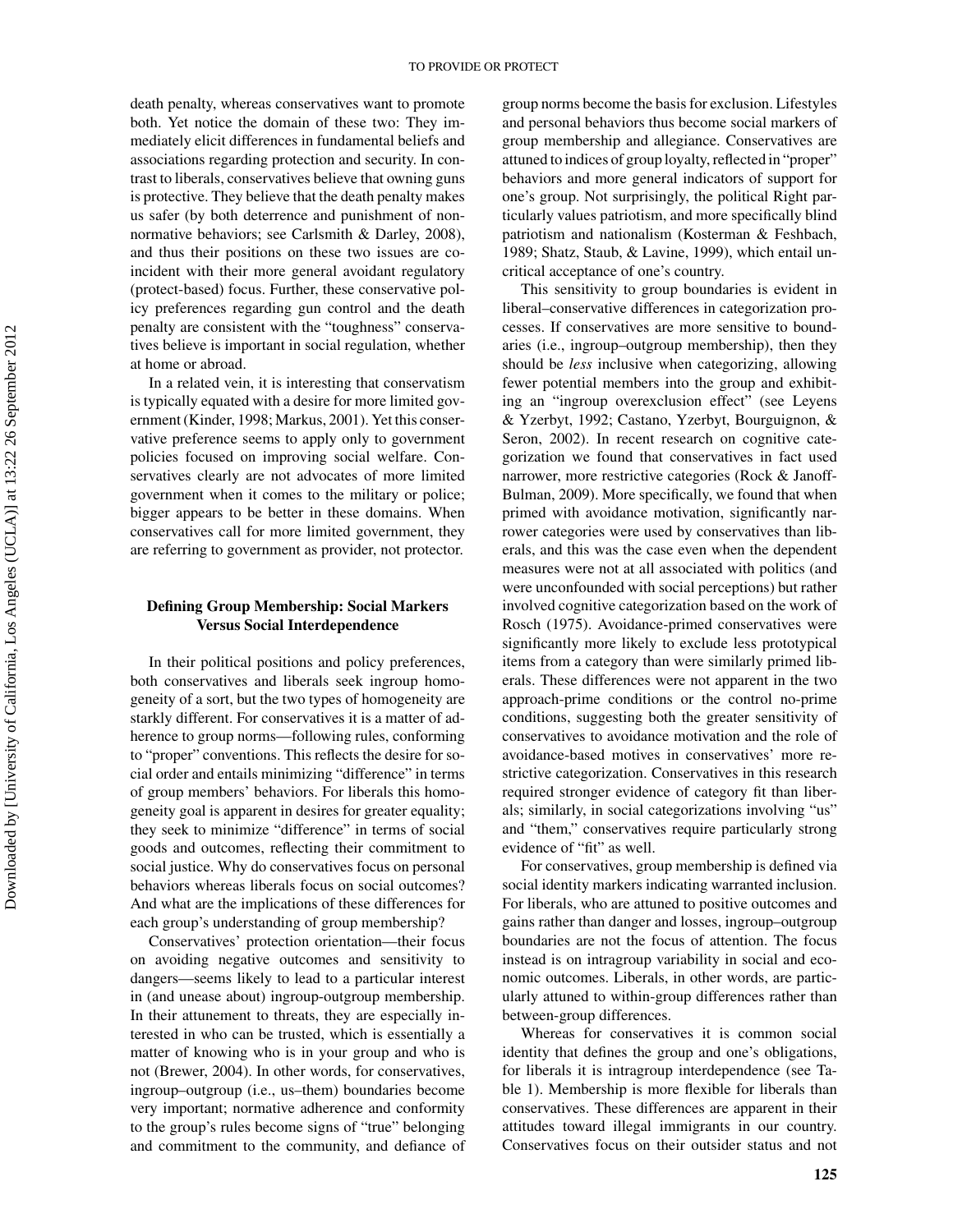death penalty, whereas conservatives want to promote both. Yet notice the domain of these two: They immediately elicit differences in fundamental beliefs and associations regarding protection and security. In contrast to liberals, conservatives believe that owning guns is protective. They believe that the death penalty makes us safer (by both deterrence and punishment of nonnormative behaviors; see Carlsmith & Darley, 2008), and thus their positions on these two issues are coincident with their more general avoidant regulatory (protect-based) focus. Further, these conservative policy preferences regarding gun control and the death penalty are consistent with the "toughness" conservatives believe is important in social regulation, whether at home or abroad.

In a related vein, it is interesting that conservatism is typically equated with a desire for more limited government (Kinder, 1998; Markus, 2001). Yet this conservative preference seems to apply only to government policies focused on improving social welfare. Conservatives clearly are not advocates of more limited government when it comes to the military or police; bigger appears to be better in these domains. When conservatives call for more limited government, they are referring to government as provider, not protector.

### **Defining Group Membership: Social Markers Versus Social Interdependence**

In their political positions and policy preferences, both conservatives and liberals seek ingroup homogeneity of a sort, but the two types of homogeneity are starkly different. For conservatives it is a matter of adherence to group norms—following rules, conforming to "proper" conventions. This reflects the desire for social order and entails minimizing "difference" in terms of group members' behaviors. For liberals this homogeneity goal is apparent in desires for greater equality; they seek to minimize "difference" in terms of social goods and outcomes, reflecting their commitment to social justice. Why do conservatives focus on personal behaviors whereas liberals focus on social outcomes? And what are the implications of these differences for each group's understanding of group membership?

Conservatives' protection orientation—their focus on avoiding negative outcomes and sensitivity to dangers—seems likely to lead to a particular interest in (and unease about) ingroup-outgroup membership. In their attunement to threats, they are especially interested in who can be trusted, which is essentially a matter of knowing who is in your group and who is not (Brewer, 2004). In other words, for conservatives, ingroup–outgroup (i.e., us–them) boundaries become very important; normative adherence and conformity to the group's rules become signs of "true" belonging and commitment to the community, and defiance of group norms become the basis for exclusion. Lifestyles and personal behaviors thus become social markers of group membership and allegiance. Conservatives are attuned to indices of group loyalty, reflected in "proper" behaviors and more general indicators of support for one's group. Not surprisingly, the political Right particularly values patriotism, and more specifically blind patriotism and nationalism (Kosterman & Feshbach, 1989; Shatz, Staub, & Lavine, 1999), which entail uncritical acceptance of one's country.

This sensitivity to group boundaries is evident in liberal–conservative differences in categorization processes. If conservatives are more sensitive to boundaries (i.e., ingroup–outgroup membership), then they should be *less* inclusive when categorizing, allowing fewer potential members into the group and exhibiting an "ingroup overexclusion effect" (see Leyens & Yzerbyt, 1992; Castano, Yzerbyt, Bourguignon, & Seron, 2002). In recent research on cognitive categorization we found that conservatives in fact used narrower, more restrictive categories (Rock & Janoff-Bulman, 2009). More specifically, we found that when primed with avoidance motivation, significantly narrower categories were used by conservatives than liberals, and this was the case even when the dependent measures were not at all associated with politics (and were unconfounded with social perceptions) but rather involved cognitive categorization based on the work of Rosch (1975). Avoidance-primed conservatives were significantly more likely to exclude less prototypical items from a category than were similarly primed liberals. These differences were not apparent in the two approach-prime conditions or the control no-prime conditions, suggesting both the greater sensitivity of conservatives to avoidance motivation and the role of avoidance-based motives in conservatives' more restrictive categorization. Conservatives in this research required stronger evidence of category fit than liberals; similarly, in social categorizations involving "us" and "them," conservatives require particularly strong evidence of "fit" as well.

For conservatives, group membership is defined via social identity markers indicating warranted inclusion. For liberals, who are attuned to positive outcomes and gains rather than danger and losses, ingroup–outgroup boundaries are not the focus of attention. The focus instead is on intragroup variability in social and economic outcomes. Liberals, in other words, are particularly attuned to within-group differences rather than between-group differences.

Whereas for conservatives it is common social identity that defines the group and one's obligations, for liberals it is intragroup interdependence (see Table 1). Membership is more flexible for liberals than conservatives. These differences are apparent in their attitudes toward illegal immigrants in our country. Conservatives focus on their outsider status and not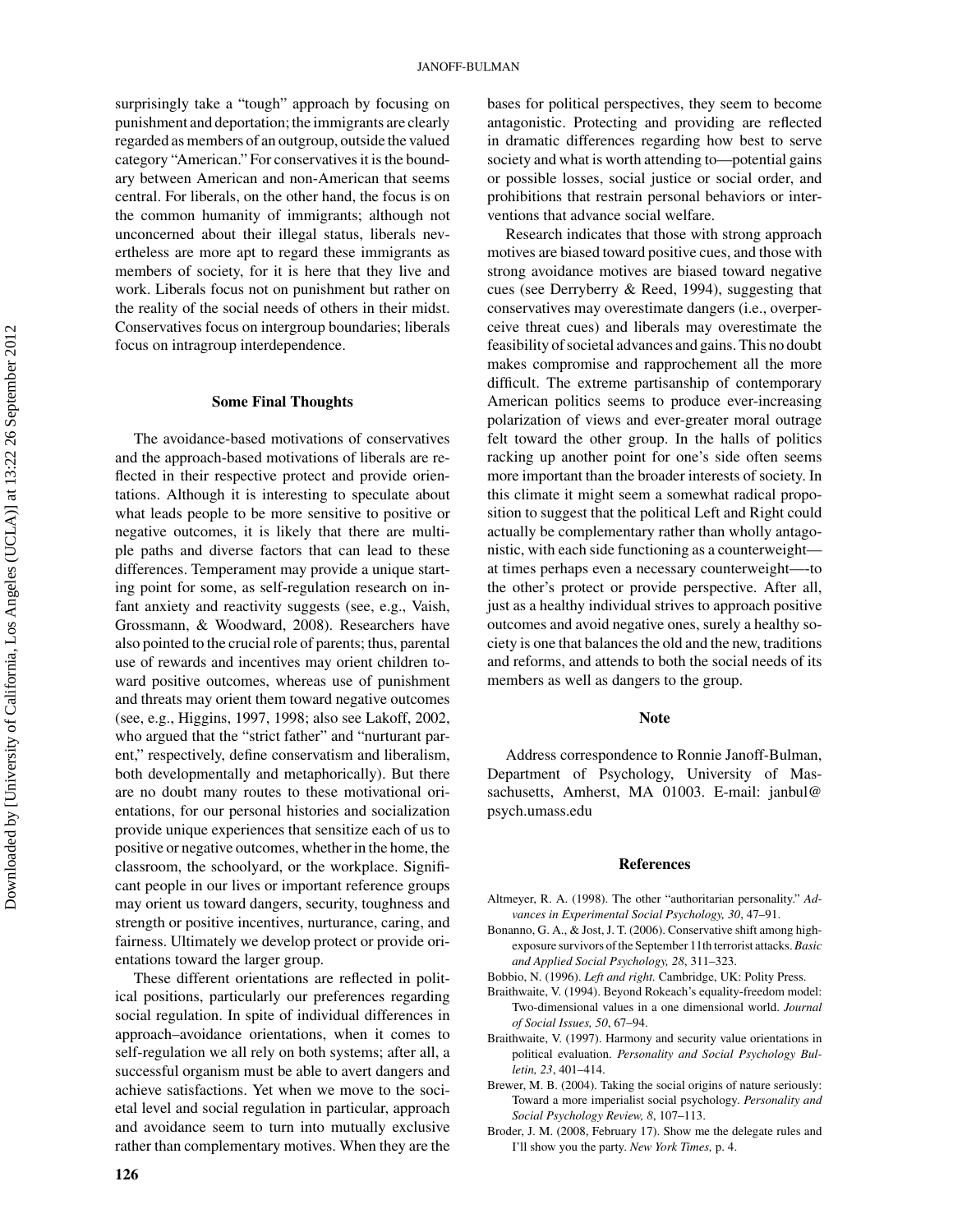surprisingly take a "tough" approach by focusing on punishment and deportation; the immigrants are clearly regarded as members of an outgroup, outside the valued category "American." For conservatives it is the boundary between American and non-American that seems central. For liberals, on the other hand, the focus is on the common humanity of immigrants; although not unconcerned about their illegal status, liberals nevertheless are more apt to regard these immigrants as members of society, for it is here that they live and work. Liberals focus not on punishment but rather on the reality of the social needs of others in their midst. Conservatives focus on intergroup boundaries; liberals focus on intragroup interdependence.

#### **Some Final Thoughts**

The avoidance-based motivations of conservatives and the approach-based motivations of liberals are reflected in their respective protect and provide orientations. Although it is interesting to speculate about what leads people to be more sensitive to positive or negative outcomes, it is likely that there are multiple paths and diverse factors that can lead to these differences. Temperament may provide a unique starting point for some, as self-regulation research on infant anxiety and reactivity suggests (see, e.g., Vaish, Grossmann, & Woodward, 2008). Researchers have also pointed to the crucial role of parents; thus, parental use of rewards and incentives may orient children toward positive outcomes, whereas use of punishment and threats may orient them toward negative outcomes (see, e.g., Higgins, 1997, 1998; also see Lakoff, 2002, who argued that the "strict father" and "nurturant parent," respectively, define conservatism and liberalism, both developmentally and metaphorically). But there are no doubt many routes to these motivational orientations, for our personal histories and socialization provide unique experiences that sensitize each of us to positive or negative outcomes, whether in the home, the classroom, the schoolyard, or the workplace. Significant people in our lives or important reference groups may orient us toward dangers, security, toughness and strength or positive incentives, nurturance, caring, and fairness. Ultimately we develop protect or provide orientations toward the larger group.

These different orientations are reflected in political positions, particularly our preferences regarding social regulation. In spite of individual differences in approach–avoidance orientations, when it comes to self-regulation we all rely on both systems; after all, a successful organism must be able to avert dangers and achieve satisfactions. Yet when we move to the societal level and social regulation in particular, approach and avoidance seem to turn into mutually exclusive rather than complementary motives. When they are the bases for political perspectives, they seem to become antagonistic. Protecting and providing are reflected in dramatic differences regarding how best to serve society and what is worth attending to—potential gains or possible losses, social justice or social order, and prohibitions that restrain personal behaviors or interventions that advance social welfare.

Research indicates that those with strong approach motives are biased toward positive cues, and those with strong avoidance motives are biased toward negative cues (see Derryberry & Reed, 1994), suggesting that conservatives may overestimate dangers (i.e., overperceive threat cues) and liberals may overestimate the feasibility of societal advances and gains. This no doubt makes compromise and rapprochement all the more difficult. The extreme partisanship of contemporary American politics seems to produce ever-increasing polarization of views and ever-greater moral outrage felt toward the other group. In the halls of politics racking up another point for one's side often seems more important than the broader interests of society. In this climate it might seem a somewhat radical proposition to suggest that the political Left and Right could actually be complementary rather than wholly antagonistic, with each side functioning as a counterweight at times perhaps even a necessary counterweight—-to the other's protect or provide perspective. After all, just as a healthy individual strives to approach positive outcomes and avoid negative ones, surely a healthy society is one that balances the old and the new, traditions and reforms, and attends to both the social needs of its members as well as dangers to the group.

#### **Note**

Address correspondence to Ronnie Janoff-Bulman, Department of Psychology, University of Massachusetts, Amherst, MA 01003. E-mail: janbul@ psych.umass.edu

#### **References**

- Altmeyer, R. A. (1998). The other "authoritarian personality." *Advances in Experimental Social Psychology, 30*, 47–91.
- Bonanno, G. A., & Jost, J. T. (2006). Conservative shift among highexposure survivors of the September 11th terrorist attacks.*Basic and Applied Social Psychology, 28*, 311–323.
- Bobbio, N. (1996). *Left and right.* Cambridge, UK: Polity Press.
- Braithwaite, V. (1994). Beyond Rokeach's equality-freedom model: Two-dimensional values in a one dimensional world. *Journal of Social Issues, 50*, 67–94.
- Braithwaite, V. (1997). Harmony and security value orientations in political evaluation. *Personality and Social Psychology Bulletin, 23*, 401–414.
- Brewer, M. B. (2004). Taking the social origins of nature seriously: Toward a more imperialist social psychology. *Personality and Social Psychology Review, 8*, 107–113.
- Broder, J. M. (2008, February 17). Show me the delegate rules and I'll show you the party. *New York Times,* p. 4.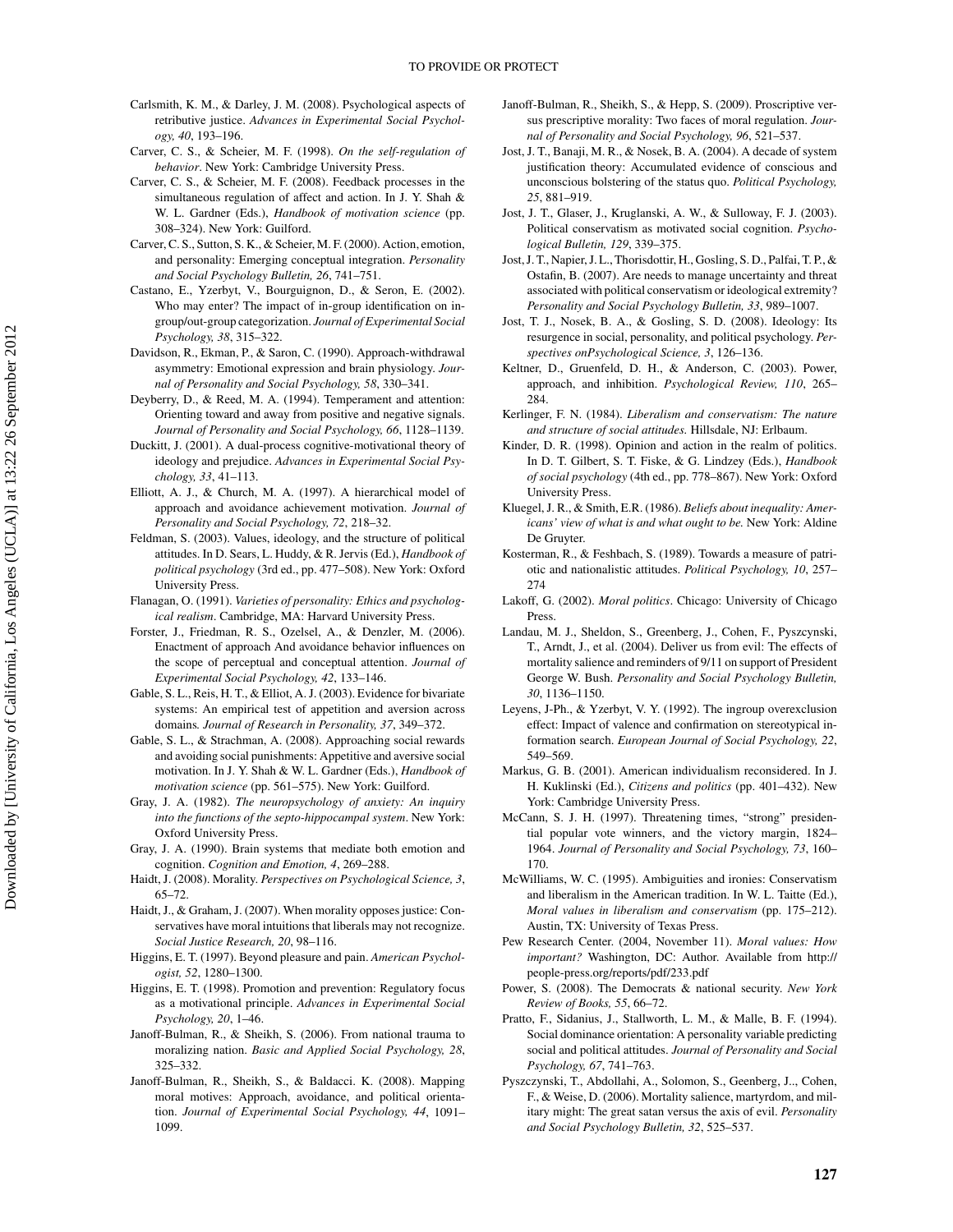- Carlsmith, K. M., & Darley, J. M. (2008). Psychological aspects of retributive justice. *Advances in Experimental Social Psychology, 40*, 193–196.
- Carver, C. S., & Scheier, M. F. (1998). *On the self-regulation of behavior*. New York: Cambridge University Press.
- Carver, C. S., & Scheier, M. F. (2008). Feedback processes in the simultaneous regulation of affect and action. In J. Y. Shah & W. L. Gardner (Eds.), *Handbook of motivation science* (pp. 308–324). New York: Guilford.
- Carver, C. S., Sutton, S. K., & Scheier, M. F. (2000). Action, emotion, and personality: Emerging conceptual integration. *Personality and Social Psychology Bulletin, 26*, 741–751.
- Castano, E., Yzerbyt, V., Bourguignon, D., & Seron, E. (2002). Who may enter? The impact of in-group identification on ingroup/out-group categorization. *Journal of Experimental Social Psychology, 38*, 315–322.
- Davidson, R., Ekman, P., & Saron, C. (1990). Approach-withdrawal asymmetry: Emotional expression and brain physiology. *Journal of Personality and Social Psychology, 58*, 330–341.
- Deyberry, D., & Reed, M. A. (1994). Temperament and attention: Orienting toward and away from positive and negative signals. *Journal of Personality and Social Psychology, 66*, 1128–1139.
- Duckitt, J. (2001). A dual-process cognitive-motivational theory of ideology and prejudice. *Advances in Experimental Social Psychology, 33*, 41–113.
- Elliott, A. J., & Church, M. A. (1997). A hierarchical model of approach and avoidance achievement motivation. *Journal of Personality and Social Psychology, 72*, 218–32.
- Feldman, S. (2003). Values, ideology, and the structure of political attitudes. In D. Sears, L. Huddy, & R. Jervis (Ed.), *Handbook of political psychology* (3rd ed., pp. 477–508). New York: Oxford University Press.
- Flanagan, O. (1991). *Varieties of personality: Ethics and psychological realism*. Cambridge, MA: Harvard University Press.
- Forster, J., Friedman, R. S., Ozelsel, A., & Denzler, M. (2006). Enactment of approach And avoidance behavior influences on the scope of perceptual and conceptual attention. *Journal of Experimental Social Psychology, 42*, 133–146.
- Gable, S. L., Reis, H. T., & Elliot, A. J. (2003). Evidence for bivariate systems: An empirical test of appetition and aversion across domains*. Journal of Research in Personality, 37*, 349–372.
- Gable, S. L., & Strachman, A. (2008). Approaching social rewards and avoiding social punishments: Appetitive and aversive social motivation. In J. Y. Shah & W. L. Gardner (Eds.), *Handbook of motivation science* (pp. 561–575). New York: Guilford.
- Gray, J. A. (1982). *The neuropsychology of anxiety: An inquiry into the functions of the septo-hippocampal system*. New York: Oxford University Press.
- Gray, J. A. (1990). Brain systems that mediate both emotion and cognition. *Cognition and Emotion, 4*, 269–288.
- Haidt, J. (2008). Morality. *Perspectives on Psychological Science, 3*, 65–72.
- Haidt, J., & Graham, J. (2007). When morality opposes justice: Conservatives have moral intuitions that liberals may not recognize. *Social Justice Research, 20*, 98–116.
- Higgins, E. T. (1997). Beyond pleasure and pain. *American Psychologist, 52*, 1280–1300.
- Higgins, E. T. (1998). Promotion and prevention: Regulatory focus as a motivational principle. *Advances in Experimental Social Psychology, 20*, 1–46.
- Janoff-Bulman, R., & Sheikh, S. (2006). From national trauma to moralizing nation. *Basic and Applied Social Psychology, 28*, 325–332.
- Janoff-Bulman, R., Sheikh, S., & Baldacci. K. (2008). Mapping moral motives: Approach, avoidance, and political orientation. *Journal of Experimental Social Psychology, 44*, 1091– 1099.
- Janoff-Bulman, R., Sheikh, S., & Hepp, S. (2009). Proscriptive versus prescriptive morality: Two faces of moral regulation. *Journal of Personality and Social Psychology, 96*, 521–537.
- Jost, J. T., Banaji, M. R., & Nosek, B. A. (2004). A decade of system justification theory: Accumulated evidence of conscious and unconscious bolstering of the status quo. *Political Psychology, 25*, 881–919.
- Jost, J. T., Glaser, J., Kruglanski, A. W., & Sulloway, F. J. (2003). Political conservatism as motivated social cognition. *Psychological Bulletin, 129*, 339–375.
- Jost, J. T., Napier, J. L., Thorisdottir, H., Gosling, S. D., Palfai, T. P., & Ostafin, B. (2007). Are needs to manage uncertainty and threat associated with political conservatism or ideological extremity? *Personality and Social Psychology Bulletin, 33*, 989–1007.
- Jost, T. J., Nosek, B. A., & Gosling, S. D. (2008). Ideology: Its resurgence in social, personality, and political psychology. *Perspectives onPsychological Science, 3*, 126–136.
- Keltner, D., Gruenfeld, D. H., & Anderson, C. (2003). Power, approach, and inhibition. *Psychological Review, 110*, 265– 284.
- Kerlinger, F. N. (1984). *Liberalism and conservatism: The nature and structure of social attitudes.* Hillsdale, NJ: Erlbaum.
- Kinder, D. R. (1998). Opinion and action in the realm of politics. In D. T. Gilbert, S. T. Fiske, & G. Lindzey (Eds.), *Handbook of social psychology* (4th ed., pp. 778–867). New York: Oxford University Press.
- Kluegel, J. R., & Smith, E.R. (1986). *Beliefs about inequality: Americans' view of what is and what ought to be.* New York: Aldine De Gruyter.
- Kosterman, R., & Feshbach, S. (1989). Towards a measure of patriotic and nationalistic attitudes. *Political Psychology, 10*, 257– 274
- Lakoff, G. (2002). *Moral politics*. Chicago: University of Chicago Press.
- Landau, M. J., Sheldon, S., Greenberg, J., Cohen, F., Pyszcynski, T., Arndt, J., et al. (2004). Deliver us from evil: The effects of mortality salience and reminders of 9/11 on support of President George W. Bush. *Personality and Social Psychology Bulletin, 30*, 1136–1150.
- Leyens, J-Ph., & Yzerbyt, V. Y. (1992). The ingroup overexclusion effect: Impact of valence and confirmation on stereotypical information search. *European Journal of Social Psychology, 22*, 549–569.
- Markus, G. B. (2001). American individualism reconsidered. In J. H. Kuklinski (Ed.), *Citizens and politics* (pp. 401–432). New York: Cambridge University Press.
- McCann, S. J. H. (1997). Threatening times, "strong" presidential popular vote winners, and the victory margin, 1824– 1964. *Journal of Personality and Social Psychology, 73*, 160– 170.
- McWilliams, W. C. (1995). Ambiguities and ironies: Conservatism and liberalism in the American tradition. In W. L. Taitte (Ed.), *Moral values in liberalism and conservatism* (pp. 175–212). Austin, TX: University of Texas Press.
- Pew Research Center. (2004, November 11). *Moral values: How important?* Washington, DC: Author. Available from http:// people-press.org/reports/pdf/233.pdf
- Power, S. (2008). The Democrats & national security. *New York Review of Books, 55*, 66–72.
- Pratto, F., Sidanius, J., Stallworth, L. M., & Malle, B. F. (1994). Social dominance orientation: A personality variable predicting social and political attitudes. *Journal of Personality and Social Psychology, 67*, 741–763.
- Pyszczynski, T., Abdollahi, A., Solomon, S., Geenberg, J.., Cohen, F., & Weise, D. (2006). Mortality salience, martyrdom, and military might: The great satan versus the axis of evil. *Personality and Social Psychology Bulletin, 32*, 525–537.